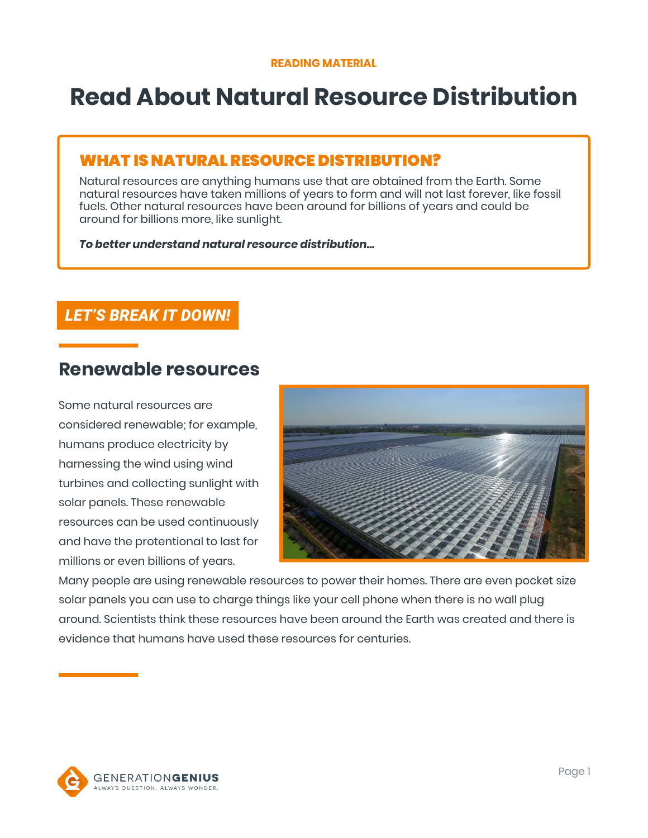# **Read About Natural Resource Distribution**

## WHAT IS NATURAL RESOURCE DISTRIBUTION?

Natural resources are anything humans use that are obtained from the Earth. Some natural resources have taken millions of years to form and will not last forever, like fossil fuels. Other natural resources have been around for billions of years and could be around for billions more, like sunlight.

*To better understand natural resource distribution…*

### *LET'S BREAK IT DOWN!*

# **Renewable resources**

Some natural resources are considered renewable; for example, humans produce electricity by harnessing the wind using wind turbines and collecting sunlight with solar panels. These renewable resources can be used continuously and have the protentional to last for millions or even billions of years.



Many people are using renewable resources to power their homes. There are even pocket size solar panels you can use to charge things like your cell phone when there is no wall plug around. Scientists think these resources have been around the Earth was created and there is evidence that humans have used these resources for centuries.

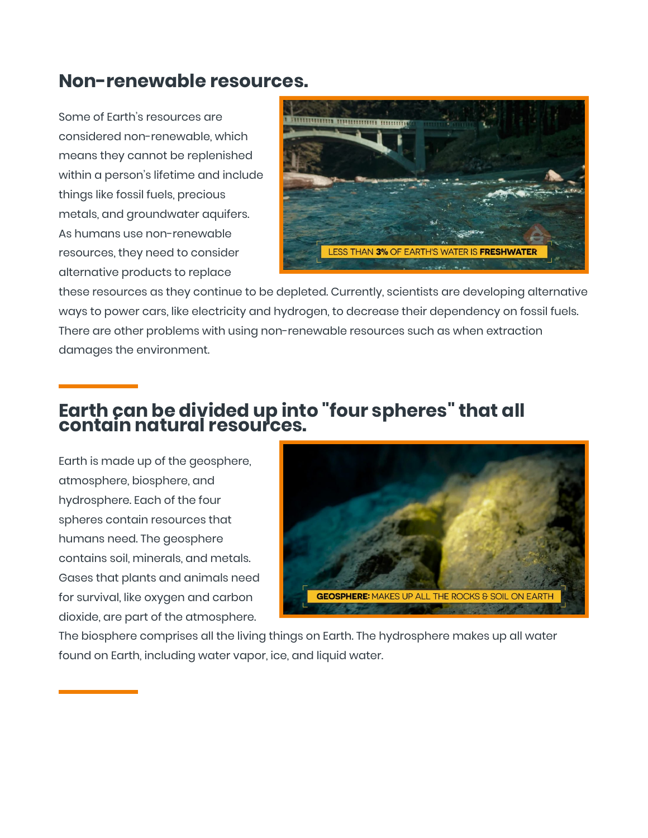# **Non-renewable resources.**

Some of Earth's resources are considered non-renewable, which means they cannot be replenished within a person's lifetime and include things like fossil fuels, precious metals, and groundwater aquifers. As humans use non-renewable resources, they need to consider alternative products to replace



these resources as they continue to be depleted. Currently, scientists are developing alternative ways to power cars, like electricity and hydrogen, to decrease their dependency on fossil fuels. There are other problems with using non-renewable resources such as when extraction damages the environment.

# **Earth can be divided up into "four spheres" that all contain natural resources.**

Earth is made up of the geosphere, atmosphere, biosphere, and hydrosphere. Each of the four spheres contain resources that humans need. The geosphere contains soil, minerals, and metals. Gases that plants and animals need for survival, like oxygen and carbon dioxide, are part of the atmosphere.



The biosphere comprises all the living things on Earth. The hydrosphere makes up all water found on Earth, including water vapor, ice, and liquid water.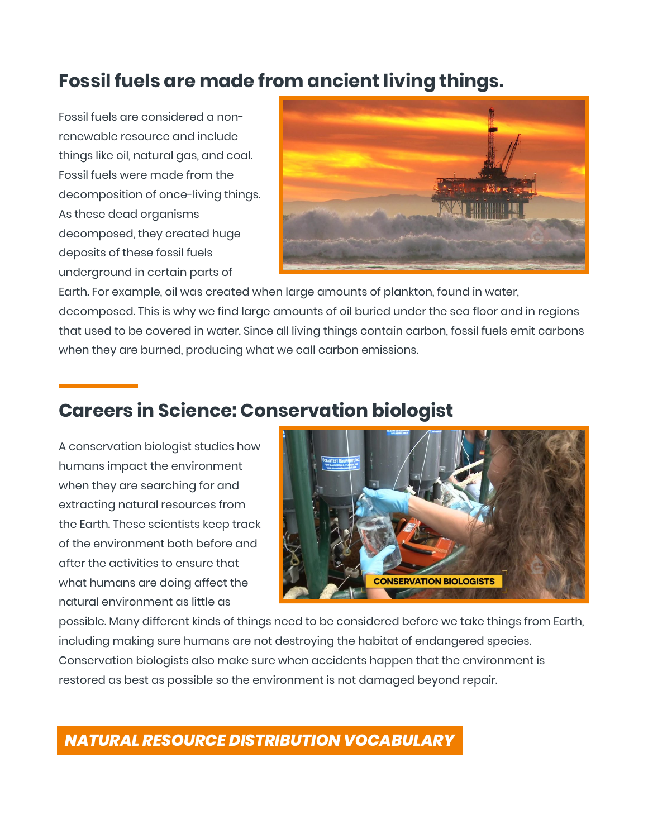# **Fossil fuels are made from ancient living things.**

Fossil fuels are considered a nonrenewable resource and include things like oil, natural gas, and coal. Fossil fuels were made from the decomposition of once-living things. As these dead organisms decomposed, they created huge deposits of these fossil fuels underground in certain parts of



Earth. For example, oil was created when large amounts of plankton, found in water, decomposed. This is why we find large amounts of oil buried under the sea floor and in regions that used to be covered in water. Since all living things contain carbon, fossil fuels emit carbons when they are burned, producing what we call carbon emissions.

# **Careers in Science: Conservation biologist**

A conservation biologist studies how humans impact the environment when they are searching for and extracting natural resources from the Earth. These scientists keep track of the environment both before and after the activities to ensure that what humans are doing affect the natural environment as little as



possible. Many different kinds of things need to be considered before we take things from Earth, including making sure humans are not destroying the habitat of endangered species. Conservation biologists also make sure when accidents happen that the environment is restored as best as possible so the environment is not damaged beyond repair.

## *NATURAL RESOURCE DISTRIBUTION VOCABULARY*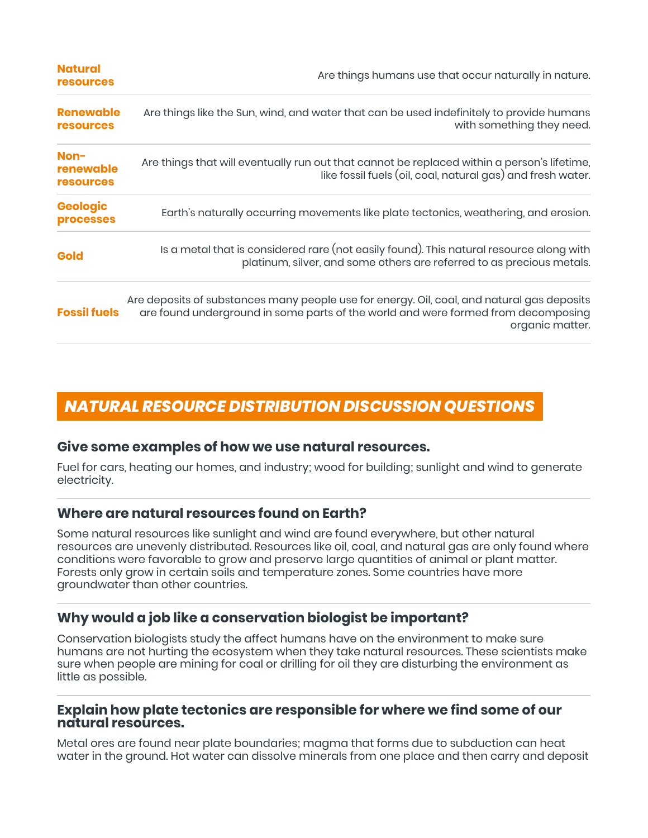| <b>Natural</b><br><b>resources</b>    | Are things humans use that occur naturally in nature.                                                                                                                                              |
|---------------------------------------|----------------------------------------------------------------------------------------------------------------------------------------------------------------------------------------------------|
| <b>Renewable</b><br><b>resources</b>  | Are things like the Sun, wind, and water that can be used indefinitely to provide humans<br>with something they need.                                                                              |
| Non-<br>renewable<br><b>resources</b> | Are things that will eventually run out that cannot be replaced within a person's lifetime,<br>like fossil fuels (oil, coal, natural gas) and fresh water.                                         |
| <b>Geologic</b><br><b>processes</b>   | Earth's naturally occurring movements like plate tectonics, weathering, and erosion.                                                                                                               |
| <b>Gold</b>                           | Is a metal that is considered rare (not easily found). This natural resource along with<br>platinum, silver, and some others are referred to as precious metals.                                   |
| <b>Fossil fuels</b>                   | Are deposits of substances many people use for energy. Oil, coal, and natural gas deposits<br>are found underground in some parts of the world and were formed from decomposing<br>organic matter. |

## *NATURAL RESOURCE DISTRIBUTION DISCUSSION QUESTIONS*

#### **Give some examples of how we use natural resources.**

Fuel for cars, heating our homes, and industry; wood for building; sunlight and wind to generate electricity.

#### **Where are natural resources found on Earth?**

Some natural resources like sunlight and wind are found everywhere, but other natural resources are unevenly distributed. Resources like oil, coal, and natural gas are only found where conditions were favorable to grow and preserve large quantities of animal or plant matter. Forests only grow in certain soils and temperature zones. Some countries have more groundwater than other countries.

#### **Why would a job like a conservation biologist be important?**

Conservation biologists study the affect humans have on the environment to make sure humans are not hurting the ecosystem when they take natural resources. These scientists make sure when people are mining for coal or drilling for oil they are disturbing the environment as little as possible.

#### **Explain how plate tectonics are responsible for where we find some of our natural resources.**

Metal ores are found near plate boundaries; magma that forms due to subduction can heat water in the ground. Hot water can dissolve minerals from one place and then carry and deposit